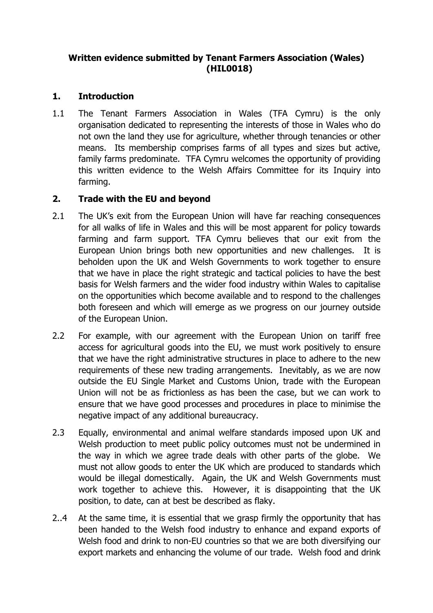## **Written evidence submitted by Tenant Farmers Association (Wales) (HIL0018)**

# **1. Introduction**

1.1 The Tenant Farmers Association in Wales (TFA Cymru) is the only organisation dedicated to representing the interests of those in Wales who do not own the land they use for agriculture, whether through tenancies or other means. Its membership comprises farms of all types and sizes but active, family farms predominate. TFA Cymru welcomes the opportunity of providing this written evidence to the Welsh Affairs Committee for its Inquiry into farming.

## **2. Trade with the EU and beyond**

- 2.1 The UK's exit from the European Union will have far reaching consequences for all walks of life in Wales and this will be most apparent for policy towards farming and farm support. TFA Cymru believes that our exit from the European Union brings both new opportunities and new challenges. It is beholden upon the UK and Welsh Governments to work together to ensure that we have in place the right strategic and tactical policies to have the best basis for Welsh farmers and the wider food industry within Wales to capitalise on the opportunities which become available and to respond to the challenges both foreseen and which will emerge as we progress on our journey outside of the European Union.
- 2.2 For example, with our agreement with the European Union on tariff free access for agricultural goods into the EU, we must work positively to ensure that we have the right administrative structures in place to adhere to the new requirements of these new trading arrangements. Inevitably, as we are now outside the EU Single Market and Customs Union, trade with the European Union will not be as frictionless as has been the case, but we can work to ensure that we have good processes and procedures in place to minimise the negative impact of any additional bureaucracy.
- 2.3 Equally, environmental and animal welfare standards imposed upon UK and Welsh production to meet public policy outcomes must not be undermined in the way in which we agree trade deals with other parts of the globe. We must not allow goods to enter the UK which are produced to standards which would be illegal domestically. Again, the UK and Welsh Governments must work together to achieve this. However, it is disappointing that the UK position, to date, can at best be described as flaky.
- 2..4 At the same time, it is essential that we grasp firmly the opportunity that has been handed to the Welsh food industry to enhance and expand exports of Welsh food and drink to non-EU countries so that we are both diversifying our export markets and enhancing the volume of our trade. Welsh food and drink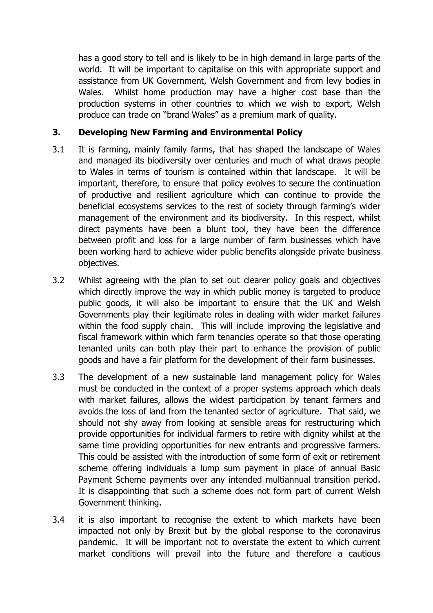has a good story to tell and is likely to be in high demand in large parts of the world. It will be important to capitalise on this with appropriate support and assistance from UK Government, Welsh Government and from levy bodies in Wales. Whilst home production may have a higher cost base than the production systems in other countries to which we wish to export, Welsh produce can trade on "brand Wales" as a premium mark of quality.

## **3. Developing New Farming and Environmental Policy**

- 3.1 It is farming, mainly family farms, that has shaped the landscape of Wales and managed its biodiversity over centuries and much of what draws people to Wales in terms of tourism is contained within that landscape. It will be important, therefore, to ensure that policy evolves to secure the continuation of productive and resilient agriculture which can continue to provide the beneficial ecosystems services to the rest of society through farming's wider management of the environment and its biodiversity. In this respect, whilst direct payments have been a blunt tool, they have been the difference between profit and loss for a large number of farm businesses which have been working hard to achieve wider public benefits alongside private business objectives.
- 3.2 Whilst agreeing with the plan to set out clearer policy goals and objectives which directly improve the way in which public money is targeted to produce public goods, it will also be important to ensure that the UK and Welsh Governments play their legitimate roles in dealing with wider market failures within the food supply chain. This will include improving the legislative and fiscal framework within which farm tenancies operate so that those operating tenanted units can both play their part to enhance the provision of public goods and have a fair platform for the development of their farm businesses.
- 3.3 The development of a new sustainable land management policy for Wales must be conducted in the context of a proper systems approach which deals with market failures, allows the widest participation by tenant farmers and avoids the loss of land from the tenanted sector of agriculture. That said, we should not shy away from looking at sensible areas for restructuring which provide opportunities for individual farmers to retire with dignity whilst at the same time providing opportunities for new entrants and progressive farmers. This could be assisted with the introduction of some form of exit or retirement scheme offering individuals a lump sum payment in place of annual Basic Payment Scheme payments over any intended multiannual transition period. It is disappointing that such a scheme does not form part of current Welsh Government thinking.
- 3.4 it is also important to recognise the extent to which markets have been impacted not only by Brexit but by the global response to the coronavirus pandemic. It will be important not to overstate the extent to which current market conditions will prevail into the future and therefore a cautious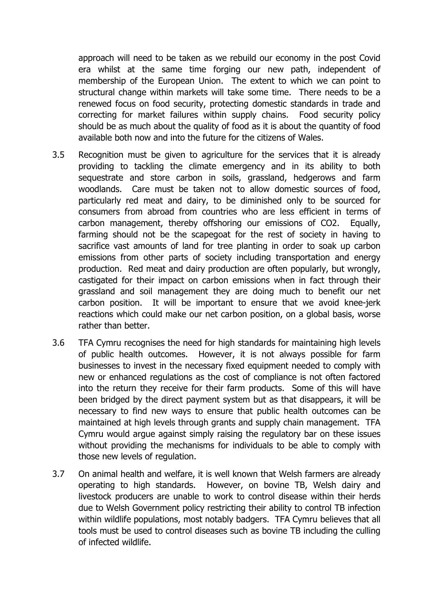approach will need to be taken as we rebuild our economy in the post Covid era whilst at the same time forging our new path, independent of membership of the European Union. The extent to which we can point to structural change within markets will take some time. There needs to be a renewed focus on food security, protecting domestic standards in trade and correcting for market failures within supply chains. Food security policy should be as much about the quality of food as it is about the quantity of food available both now and into the future for the citizens of Wales.

- 3.5 Recognition must be given to agriculture for the services that it is already providing to tackling the climate emergency and in its ability to both sequestrate and store carbon in soils, grassland, hedgerows and farm woodlands. Care must be taken not to allow domestic sources of food, particularly red meat and dairy, to be diminished only to be sourced for consumers from abroad from countries who are less efficient in terms of carbon management, thereby offshoring our emissions of CO2. Equally, farming should not be the scapegoat for the rest of society in having to sacrifice vast amounts of land for tree planting in order to soak up carbon emissions from other parts of society including transportation and energy production. Red meat and dairy production are often popularly, but wrongly, castigated for their impact on carbon emissions when in fact through their grassland and soil management they are doing much to benefit our net carbon position. It will be important to ensure that we avoid knee-jerk reactions which could make our net carbon position, on a global basis, worse rather than better.
- 3.6 TFA Cymru recognises the need for high standards for maintaining high levels of public health outcomes. However, it is not always possible for farm businesses to invest in the necessary fixed equipment needed to comply with new or enhanced regulations as the cost of compliance is not often factored into the return they receive for their farm products. Some of this will have been bridged by the direct payment system but as that disappears, it will be necessary to find new ways to ensure that public health outcomes can be maintained at high levels through grants and supply chain management. TFA Cymru would argue against simply raising the regulatory bar on these issues without providing the mechanisms for individuals to be able to comply with those new levels of regulation.
- 3.7 On animal health and welfare, it is well known that Welsh farmers are already operating to high standards. However, on bovine TB, Welsh dairy and livestock producers are unable to work to control disease within their herds due to Welsh Government policy restricting their ability to control TB infection within wildlife populations, most notably badgers. TFA Cymru believes that all tools must be used to control diseases such as bovine TB including the culling of infected wildlife.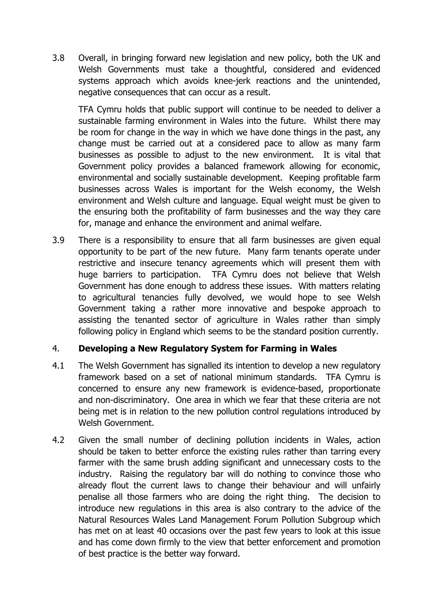3.8 Overall, in bringing forward new legislation and new policy, both the UK and Welsh Governments must take a thoughtful, considered and evidenced systems approach which avoids knee-jerk reactions and the unintended, negative consequences that can occur as a result.

TFA Cymru holds that public support will continue to be needed to deliver a sustainable farming environment in Wales into the future. Whilst there may be room for change in the way in which we have done things in the past, any change must be carried out at a considered pace to allow as many farm businesses as possible to adjust to the new environment. It is vital that Government policy provides a balanced framework allowing for economic, environmental and socially sustainable development. Keeping profitable farm businesses across Wales is important for the Welsh economy, the Welsh environment and Welsh culture and language. Equal weight must be given to the ensuring both the profitability of farm businesses and the way they care for, manage and enhance the environment and animal welfare.

3.9 There is a responsibility to ensure that all farm businesses are given equal opportunity to be part of the new future. Many farm tenants operate under restrictive and insecure tenancy agreements which will present them with huge barriers to participation. TFA Cymru does not believe that Welsh Government has done enough to address these issues. With matters relating to agricultural tenancies fully devolved, we would hope to see Welsh Government taking a rather more innovative and bespoke approach to assisting the tenanted sector of agriculture in Wales rather than simply following policy in England which seems to be the standard position currently.

#### 4. **Developing a New Regulatory System for Farming in Wales**

- 4.1 The Welsh Government has signalled its intention to develop a new regulatory framework based on a set of national minimum standards. TFA Cymru is concerned to ensure any new framework is evidence-based, proportionate and non-discriminatory. One area in which we fear that these criteria are not being met is in relation to the new pollution control regulations introduced by Welsh Government.
- 4.2 Given the small number of declining pollution incidents in Wales, action should be taken to better enforce the existing rules rather than tarring every farmer with the same brush adding significant and unnecessary costs to the industry. Raising the regulatory bar will do nothing to convince those who already flout the current laws to change their behaviour and will unfairly penalise all those farmers who are doing the right thing. The decision to introduce new regulations in this area is also contrary to the advice of the Natural Resources Wales Land Management Forum Pollution Subgroup which has met on at least 40 occasions over the past few years to look at this issue and has come down firmly to the view that better enforcement and promotion of best practice is the better way forward.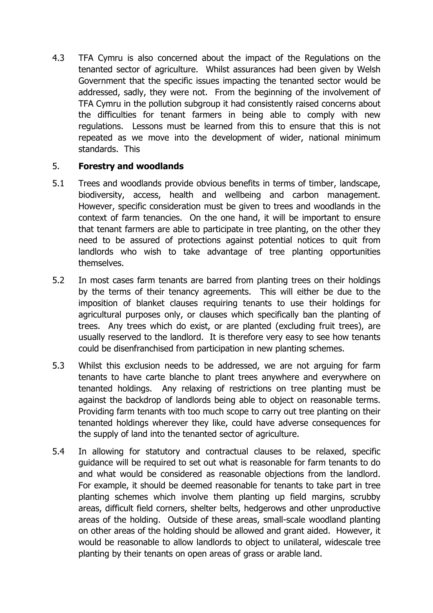4.3 TFA Cymru is also concerned about the impact of the Regulations on the tenanted sector of agriculture. Whilst assurances had been given by Welsh Government that the specific issues impacting the tenanted sector would be addressed, sadly, they were not. From the beginning of the involvement of TFA Cymru in the pollution subgroup it had consistently raised concerns about the difficulties for tenant farmers in being able to comply with new regulations. Lessons must be learned from this to ensure that this is not repeated as we move into the development of wider, national minimum standards. This

## 5. **Forestry and woodlands**

- 5.1 Trees and woodlands provide obvious benefits in terms of timber, landscape, biodiversity, access, health and wellbeing and carbon management. However, specific consideration must be given to trees and woodlands in the context of farm tenancies. On the one hand, it will be important to ensure that tenant farmers are able to participate in tree planting, on the other they need to be assured of protections against potential notices to quit from landlords who wish to take advantage of tree planting opportunities themselves.
- 5.2 In most cases farm tenants are barred from planting trees on their holdings by the terms of their tenancy agreements. This will either be due to the imposition of blanket clauses requiring tenants to use their holdings for agricultural purposes only, or clauses which specifically ban the planting of trees. Any trees which do exist, or are planted (excluding fruit trees), are usually reserved to the landlord. It is therefore very easy to see how tenants could be disenfranchised from participation in new planting schemes.
- 5.3 Whilst this exclusion needs to be addressed, we are not arguing for farm tenants to have carte blanche to plant trees anywhere and everywhere on tenanted holdings. Any relaxing of restrictions on tree planting must be against the backdrop of landlords being able to object on reasonable terms. Providing farm tenants with too much scope to carry out tree planting on their tenanted holdings wherever they like, could have adverse consequences for the supply of land into the tenanted sector of agriculture.
- 5.4 In allowing for statutory and contractual clauses to be relaxed, specific guidance will be required to set out what is reasonable for farm tenants to do and what would be considered as reasonable objections from the landlord. For example, it should be deemed reasonable for tenants to take part in tree planting schemes which involve them planting up field margins, scrubby areas, difficult field corners, shelter belts, hedgerows and other unproductive areas of the holding. Outside of these areas, small-scale woodland planting on other areas of the holding should be allowed and grant aided. However, it would be reasonable to allow landlords to object to unilateral, widescale tree planting by their tenants on open areas of grass or arable land.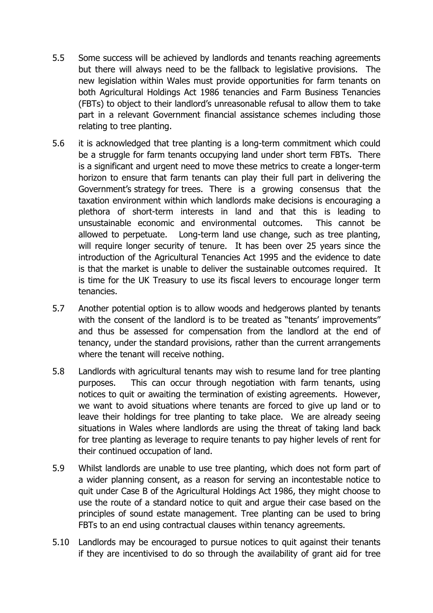- 5.5 Some success will be achieved by landlords and tenants reaching agreements but there will always need to be the fallback to legislative provisions. The new legislation within Wales must provide opportunities for farm tenants on both Agricultural Holdings Act 1986 tenancies and Farm Business Tenancies (FBTs) to object to their landlord's unreasonable refusal to allow them to take part in a relevant Government financial assistance schemes including those relating to tree planting.
- 5.6 it is acknowledged that tree planting is a long-term commitment which could be a struggle for farm tenants occupying land under short term FBTs. There is a significant and urgent need to move these metrics to create a longer-term horizon to ensure that farm tenants can play their full part in delivering the Government's strategy for trees. There is a growing consensus that the taxation environment within which landlords make decisions is encouraging a plethora of short-term interests in land and that this is leading to unsustainable economic and environmental outcomes. This cannot be allowed to perpetuate. Long-term land use change, such as tree planting, will require longer security of tenure. It has been over 25 years since the introduction of the Agricultural Tenancies Act 1995 and the evidence to date is that the market is unable to deliver the sustainable outcomes required. It is time for the UK Treasury to use its fiscal levers to encourage longer term tenancies.
- 5.7 Another potential option is to allow woods and hedgerows planted by tenants with the consent of the landlord is to be treated as "tenants' improvements" and thus be assessed for compensation from the landlord at the end of tenancy, under the standard provisions, rather than the current arrangements where the tenant will receive nothing.
- 5.8 Landlords with agricultural tenants may wish to resume land for tree planting purposes. This can occur through negotiation with farm tenants, using notices to quit or awaiting the termination of existing agreements. However, we want to avoid situations where tenants are forced to give up land or to leave their holdings for tree planting to take place. We are already seeing situations in Wales where landlords are using the threat of taking land back for tree planting as leverage to require tenants to pay higher levels of rent for their continued occupation of land.
- 5.9 Whilst landlords are unable to use tree planting, which does not form part of a wider planning consent, as a reason for serving an incontestable notice to quit under Case B of the Agricultural Holdings Act 1986, they might choose to use the route of a standard notice to quit and argue their case based on the principles of sound estate management. Tree planting can be used to bring FBTs to an end using contractual clauses within tenancy agreements.
- 5.10 Landlords may be encouraged to pursue notices to quit against their tenants if they are incentivised to do so through the availability of grant aid for tree